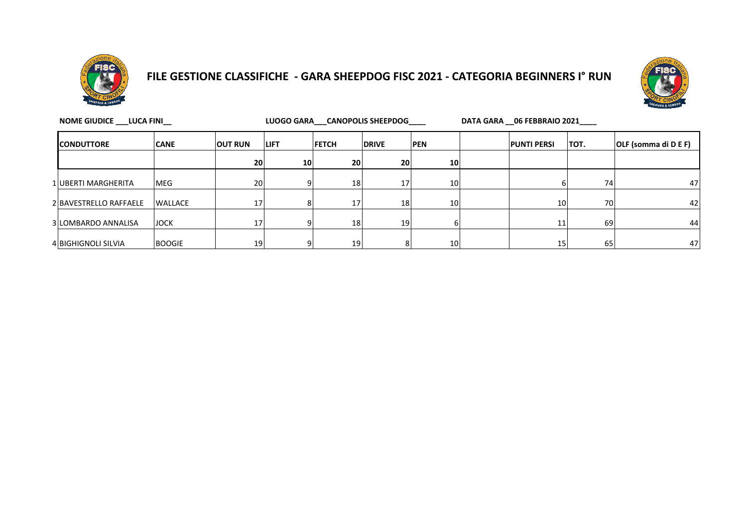

#### **FILE GESTIONE CLASSIFICHE - GARA SHEEPDOG FISC 2021 - CATEGORIA BEGINNERS I° RUN**



| NOME GIUDICE LUCA FINI |                | LUOGO GARA CANOPOLIS SHEEPDOG |                 |                 |                 |                 | DATA GARA 06 FEBBRAIO 2021 |                    |              |                      |
|------------------------|----------------|-------------------------------|-----------------|-----------------|-----------------|-----------------|----------------------------|--------------------|--------------|----------------------|
| <b>CONDUTTORE</b>      | <b>CANE</b>    | <b>OUT RUN</b>                | <b>LIFT</b>     | <b>FETCH</b>    | <b>DRIVE</b>    | <b>PEN</b>      |                            | <b>PUNTI PERSI</b> | <b>ITOT.</b> | OLF (somma di D E F) |
|                        |                | 20                            | 10 <sup>1</sup> | <b>20</b>       | 20              | 10              |                            |                    |              |                      |
| 1 UBERTI MARGHERITA    | <b>MEG</b>     | 20                            | $\Omega$        | 18 <sup>1</sup> | 17              | 10              |                            |                    | 74           | 47                   |
| 2 BAVESTRELLO RAFFAELE | <b>WALLACE</b> | 17                            |                 | 17'             | 18 <sup>1</sup> | 10 <sup>1</sup> |                            | 10 <sup>1</sup>    | 70           | 42                   |
| 3 LOMBARDO ANNALISA    | <b>JOCK</b>    | 17 <sub>1</sub>               |                 | 18              | 19              |                 |                            | 11                 | 69           | 44                   |
| 4 BIGHIGNOLI SILVIA    | <b>BOOGIE</b>  | 19                            | ΩI              | 19 <sub>l</sub> |                 | 10              |                            | 15                 | 65           | 47                   |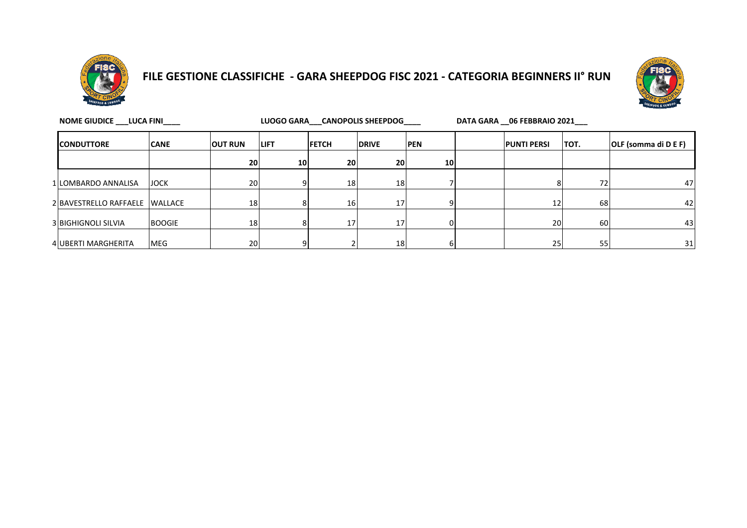

# **FILE GESTIONE CLASSIFICHE - GARA SHEEPDOG FISC 2021 - CATEGORIA BEGINNERS II° RUN**



| NOME GIUDICE LUCA FINI |                                |               |                 | LUOGO GARA CANOPOLIS SHEEPDOG |                 |                 |                 |  | DATA GARA __ 06 FEBBRAIO 2021 |      |                      |  |
|------------------------|--------------------------------|---------------|-----------------|-------------------------------|-----------------|-----------------|-----------------|--|-------------------------------|------|----------------------|--|
|                        | <b>ICONDUTTORE</b>             | <b>CANE</b>   | <b>OUT RUN</b>  | <b>ILIFT</b>                  | <b>FETCH</b>    | <b>IDRIVE</b>   | <b>PEN</b>      |  | <b>PUNTI PERSI</b>            | TOT. | OLF (somma di D E F) |  |
|                        |                                |               | 20 <sub>1</sub> | 10 <sub>l</sub>               | 20 <sup>1</sup> | 20              | 10 <sub>l</sub> |  |                               |      |                      |  |
|                        | 1 LOMBARDO ANNALISA            | <b>JOCK</b>   | 20 <sup>1</sup> |                               | 18              | 18 <sup>1</sup> |                 |  |                               | 72   | 47                   |  |
|                        | 2 BAVESTRELLO RAFFAELE WALLACE |               | 18              |                               | 16              | 17              |                 |  | 12                            | 68   | 42                   |  |
|                        | <b>3 BIGHIGNOLI SILVIA</b>     | <b>BOOGIE</b> | 18              |                               | 17 <sup>1</sup> | 17              | OΙ              |  | 20                            | 60   | 43                   |  |
|                        | 4 UBERTI MARGHERITA            | <b>MEG</b>    | 20              |                               |                 | 18              |                 |  | 25                            | 55   | 31                   |  |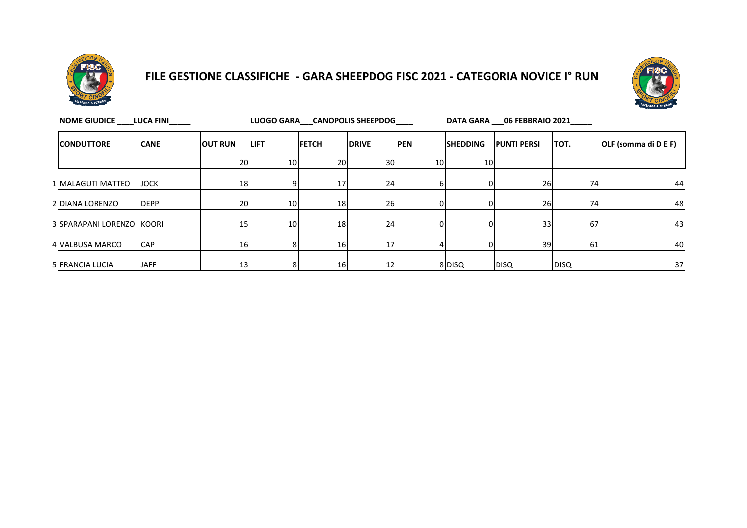

## **FILE GESTIONE CLASSIFICHE - GARA SHEEPDOG FISC 2021 - CATEGORIA NOVICE I° RUN**



| <b>NOME GIUDICE</b>       | <b>LUCA FINI</b> |                | LUOGO GARA CANOPOLIS SHEEPDOG |                 |              |            | DATA GARA 06 FEBBRAIO 2021 |                    |             |                      |  |
|---------------------------|------------------|----------------|-------------------------------|-----------------|--------------|------------|----------------------------|--------------------|-------------|----------------------|--|
| <b>CONDUTTORE</b>         | <b>CANE</b>      | <b>OUT RUN</b> | <b>LIFT</b>                   | <b>FETCH</b>    | <b>DRIVE</b> | <b>PEN</b> | <b>SHEDDING</b>            | <b>PUNTI PERSI</b> | TOT.        | OLF (somma di D E F) |  |
|                           |                  | 20             | 10                            | 20              | 30           | 10         | 10 <sup>1</sup>            |                    |             |                      |  |
| 1 MALAGUTI MATTEO         | <b>JOCK</b>      | 18             | 9                             | 17 <sup>1</sup> | 24           |            |                            | 26                 | 74          | 44                   |  |
| 2 DIANA LORENZO           | <b>IDEPP</b>     | 20             | 10                            | 18              | 26           |            |                            | 26                 | 74          | 48                   |  |
| 3 SPARAPANI LORENZO KOORI |                  | 15             | 10                            | 18              | 24           |            |                            | 33                 | 67          | 43                   |  |
| 4 VALBUSA MARCO           | <b>CAP</b>       | 16             | 8                             | 16              | 17           |            |                            | 39                 | 61          | 40                   |  |
| 5 FRANCIA LUCIA           | <b>JAFF</b>      | 13             | 8                             | 16              | 12           |            | 8 DISQ                     | <b>DISQ</b>        | <b>DISQ</b> | 37                   |  |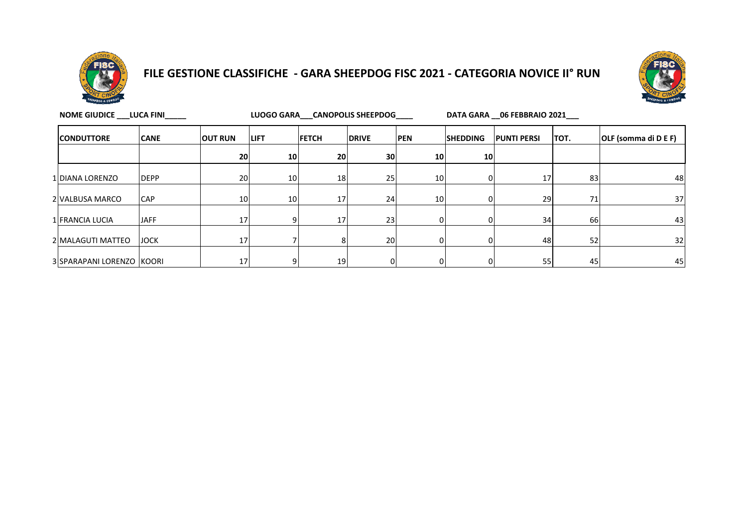

## **FILE GESTIONE CLASSIFICHE - GARA SHEEPDOG FISC 2021 - CATEGORIA NOVICE II° RUN**



| NOME GIUDICE LUCA FINI    |             |                |             |                 | LUOGO GARA CANOPOLIS SHEEPDOG |                 | DATA GARA 06 FEBBRAIO 2021 |                    |           |                      |  |
|---------------------------|-------------|----------------|-------------|-----------------|-------------------------------|-----------------|----------------------------|--------------------|-----------|----------------------|--|
| <b>CONDUTTORE</b>         | <b>CANE</b> | <b>OUT RUN</b> | <b>LIFT</b> | <b>FETCH</b>    | <b>DRIVE</b>                  | <b>PEN</b>      | <b>SHEDDING</b>            | <b>PUNTI PERSI</b> | TOT.      | OLF (somma di D E F) |  |
|                           |             | 20             | 10          | 20              | 30 <sup>1</sup>               | 10 <sub>l</sub> | 10 <sup>1</sup>            |                    |           |                      |  |
| 1 DIANA LORENZO           | <b>DEPP</b> | 20             | 10          | 18              | 25 <sub>l</sub>               | 10 <sup>1</sup> |                            | 17                 | 83        | 48                   |  |
| 2 VALBUSA MARCO           | <b>CAP</b>  | 10             | 10          | 17              | 24                            | 10              |                            | 29                 | 71        | 37 <sup>1</sup>      |  |
| 1 FRANCIA LUCIA           | <b>JAFF</b> | 17             | ٩           | 17 <sub>1</sub> | 23                            |                 |                            | 34                 | <b>66</b> | 43 <sub>l</sub>      |  |
| 2 MALAGUTI MATTEO         | <b>JOCK</b> | 17             |             |                 | 20                            | n.              |                            | 48                 | 52        | 32                   |  |
| 3 SPARAPANI LORENZO KOORI |             | 17             | 9           | 19              | 01                            |                 | 0                          | 55                 | 45        | 45                   |  |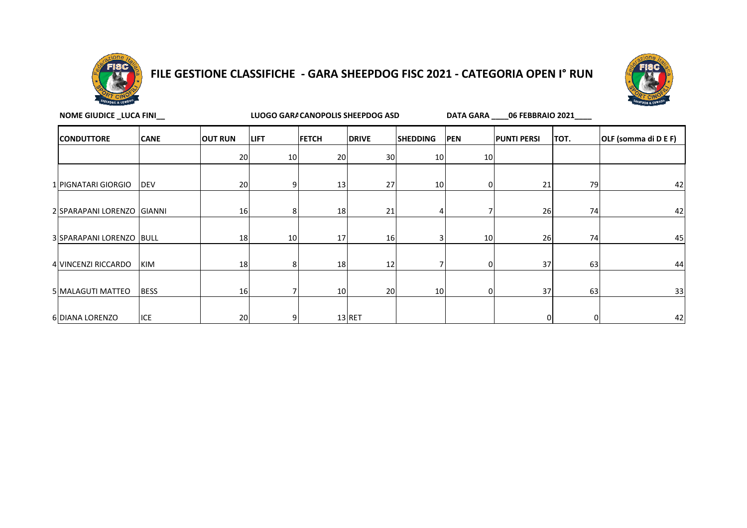

#### **FILE GESTIONE CLASSIFICHE - GARA SHEEPDOG FISC 2021 - CATEGORIA OPEN I° RUN**



**NOME GIUDICE \_LUCA FINI\_\_**

LUOGO GARA CANOPOLIS SHEEPDOG ASD<br>**DATA GARA\_\_\_\_06 FEBBRAIO 2021\_\_\_** 

| <b>CONDUTTORE</b>          | <b>CANE</b> | <b>OUT RUN</b> | <b>LIFT</b> | <b>FETCH</b> | <b>DRIVE</b> | <b>SHEDDING</b> | <b>PEN</b> | <b>PUNTI PERSI</b> | TOT.     | OLF (somma di D E F) |
|----------------------------|-------------|----------------|-------------|--------------|--------------|-----------------|------------|--------------------|----------|----------------------|
|                            |             | 20             | 10          | 20           | 30           | 10              | 10         |                    |          |                      |
|                            |             |                |             |              |              |                 |            |                    |          |                      |
| 1 PIGNATARI GIORGIO        | <b>DEV</b>  | 20             | 9           | 13           | 27           | 10              | $\Omega$   | 21                 | 79       | 42                   |
| 2 SPARAPANI LORENZO GIANNI |             | 16             | 8           | 18           | 21           |                 |            | 26                 | 74       | 42                   |
| 3 SPARAPANI LORENZO BULL   |             | 18             | 10          | 17           | 16           |                 | 10         | 26                 | 74       | 45                   |
| 4 VINCENZI RICCARDO        | KIM         | 18             | 8           | 18           | 12           |                 | ΩI         | 37                 | 63       | 44                   |
| 5 MALAGUTI MATTEO          | <b>BESS</b> | 16             | 7           | 10           | 20           | 10              | $\Omega$   | 37                 | 63       | 33                   |
| 6 DIANA LORENZO            | ICE         | 20             | 9           |              | $13$ RET     |                 |            | 0                  | $\Omega$ | 42                   |